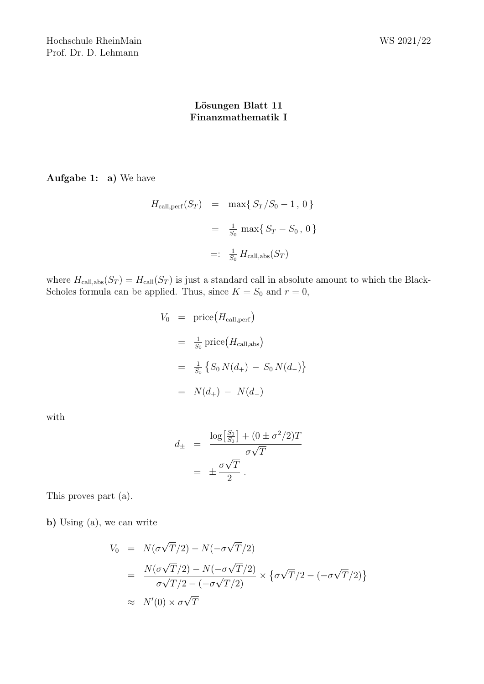## Lösungen Blatt 11 Finanzmathematik I

Aufgabe 1: a) We have

$$
H_{\text{call,perf}}(S_T) = \max\{S_T/S_0 - 1, 0\}
$$
  
=  $\frac{1}{S_0} \max\{S_T - S_0, 0\}$   
=:  $\frac{1}{S_0} H_{\text{call,abs}}(S_T)$ 

where  $H_{\text{call,abs}}(S_T) = H_{\text{call}}(S_T)$  is just a standard call in absolute amount to which the Black-Scholes formula can be applied. Thus, since  $K = S_0$  and  $r = 0$ ,

$$
V_0 = \text{price}(H_{\text{call,perf}})
$$
  
=  $\frac{1}{S_0} \text{price}(H_{\text{call,abs}})$   
=  $\frac{1}{S_0} \{ S_0 N(d_+) - S_0 N(d_-) \}$   
=  $N(d_+) - N(d_-)$ 

with

$$
d_{\pm} = \frac{\log \left[\frac{S_0}{S_0}\right] + (0 \pm \sigma^2/2)T}{\sigma \sqrt{T}}
$$

$$
= \pm \frac{\sigma \sqrt{T}}{2}.
$$

This proves part (a).

b) Using (a), we can write

$$
V_0 = N(\sigma\sqrt{T}/2) - N(-\sigma\sqrt{T}/2)
$$
  
= 
$$
\frac{N(\sigma\sqrt{T}/2) - N(-\sigma\sqrt{T}/2)}{\sigma\sqrt{T}/2 - (-\sigma\sqrt{T}/2)} \times {\sigma\sqrt{T}/2 - (-\sigma\sqrt{T}/2)}
$$
  

$$
\approx N'(0) \times \sigma\sqrt{T}
$$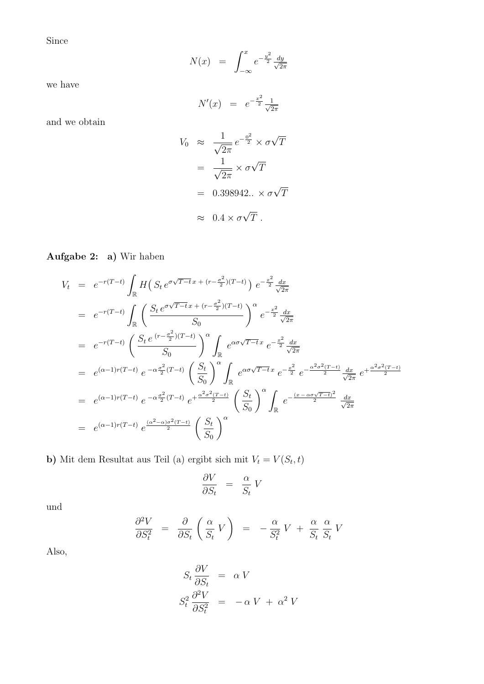Since

$$
N(x) = \int_{-\infty}^{x} e^{-\frac{y^2}{2}} \frac{dy}{\sqrt{2\pi}}
$$

we have

$$
N'(x) = e^{-\frac{x^2}{2}} \frac{1}{\sqrt{2\pi}}
$$

and we obtain

$$
V_0 \approx \frac{1}{\sqrt{2\pi}} e^{-\frac{0^2}{2}} \times \sigma \sqrt{T}
$$

$$
= \frac{1}{\sqrt{2\pi}} \times \sigma \sqrt{T}
$$

$$
= 0.398942.. \times \sigma \sqrt{T}
$$

$$
\approx 0.4 \times \sigma \sqrt{T}.
$$

Aufgabe 2: a) Wir haben

$$
V_{t} = e^{-r(T-t)} \int_{\mathbb{R}} H(S_{t} e^{\sigma \sqrt{T-t} x + (r - \frac{\sigma^{2}}{2})(T-t)}) e^{-\frac{x^{2}}{2}} \frac{dx}{\sqrt{2\pi}}
$$
  
\n
$$
= e^{-r(T-t)} \int_{\mathbb{R}} \left( \frac{S_{t} e^{\sigma \sqrt{T-t} x + (r - \frac{\sigma^{2}}{2})(T-t)}}{S_{0}} \right)^{\alpha} e^{-\frac{x^{2}}{2}} \frac{dx}{\sqrt{2\pi}}
$$
  
\n
$$
= e^{-r(T-t)} \left( \frac{S_{t} e^{(r - \frac{\sigma^{2}}{2})(T-t)}}{S_{0}} \right)^{\alpha} \int_{\mathbb{R}} e^{\alpha \sigma \sqrt{T-t} x} e^{-\frac{x^{2}}{2}} \frac{dx}{\sqrt{2\pi}}
$$
  
\n
$$
= e^{(\alpha - 1)r(T-t)} e^{-\alpha \frac{\sigma^{2}}{2}(T-t)} \left( \frac{S_{t}}{S_{0}} \right)^{\alpha} \int_{\mathbb{R}} e^{\alpha \sigma \sqrt{T-t} x} e^{-\frac{x^{2}}{2}} e^{-\frac{\alpha^{2} \sigma^{2}(T-t)}{2}} \frac{dx}{\sqrt{2\pi}} e^{+\frac{\alpha^{2} \sigma^{2}(T-t)}{2}}
$$
  
\n
$$
= e^{(\alpha - 1)r(T-t)} e^{-\alpha \frac{\sigma^{2}}{2}(T-t)} e^{+\frac{\alpha^{2} \sigma^{2}(T-t)}{2}} \left( \frac{S_{t}}{S_{0}} \right)^{\alpha} \int_{\mathbb{R}} e^{-\frac{(x - \alpha \sigma \sqrt{T-t})^{2}}{2}} \frac{dx}{\sqrt{2\pi}}
$$
  
\n
$$
= e^{(\alpha - 1)r(T-t)} e^{\frac{(\alpha^{2} - \alpha)\sigma^{2}(T-t)}{2}} \left( \frac{S_{t}}{S_{0}} \right)^{\alpha}
$$

b) Mit dem Resultat aus Teil (a) ergibt sich mit  $V_t = V(S_t, t)$ 

$$
\frac{\partial V}{\partial S_t} \;\;=\;\; \frac{\alpha}{S_t} \; V
$$

und

$$
\frac{\partial^2 V}{\partial S_t^2} = \frac{\partial}{\partial S_t} \left( \frac{\alpha}{S_t} V \right) = -\frac{\alpha}{S_t^2} V + \frac{\alpha}{S_t} \frac{\alpha}{S_t} V
$$

Also,

$$
S_t \frac{\partial V}{\partial S_t} = \alpha V
$$
  

$$
S_t^2 \frac{\partial^2 V}{\partial S_t^2} = -\alpha V + \alpha^2 V
$$